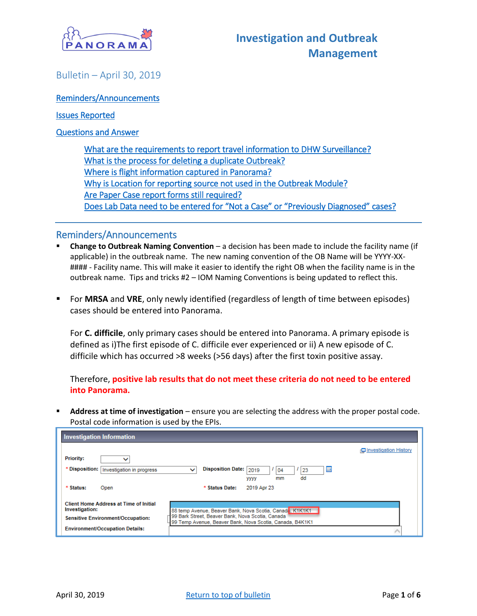

### <span id="page-0-0"></span>Bulletin – April 30, 2019

[Reminders/Announcements](#page-0-0) 

[Issues Reported](#page-1-0) 

[Questions and Answer](#page-1-1) 

[What are the requirements to report travel information to DHW Surveillance?](#page-1-2)  [What is the process for deleting a duplicate Outbreak?](#page-1-3)  [Where is flight information captured in Panorama?](#page-2-0)  [Why is Location for reporting source not used in the Outbreak Module?](#page-3-0)  [Are Paper Case report forms still required?](#page-4-0)  [Does Lab Data need to be entered for "Not a Case" or "Previously Diagnosed" cases?](#page-4-1)

#### Reminders/Announcements

- **Change to Outbreak Naming Convention** a decision has been made to include the facility name (if applicable) in the outbreak name. The new naming convention of the OB Name will be YYYY-XX- #### - Facility name. This will make it easier to identify the right OB when the facility name is in the outbreak name. Tips and tricks #2 – IOM Naming Conventions is being updated to reflect this.
- For **MRSA** and **VRE**, only newly identified (regardless of length of time between episodes) cases should be entered into Panorama.

For **C. difficile**, only primary cases should be entered into Panorama. A primary episode is defined as i)The first episode of C. difficile ever experienced or ii) A new episode of C. difficile which has occurred >8 weeks (>56 days) after the first toxin positive assay.

Therefore, **positive lab results that do not meet these criteria do not need to be entered into Panorama.**

 **Address at time of investigation** – ensure you are selecting the address with the proper postal code. Postal code information is used by the EPIs.

| <b>Investigation Information</b>                                |                                                                                                              |                       |
|-----------------------------------------------------------------|--------------------------------------------------------------------------------------------------------------|-----------------------|
|                                                                 |                                                                                                              | Investigation History |
| <b>Priority:</b>                                                |                                                                                                              |                       |
| * Disposition:<br>Investigation in progress                     | <b>Disposition Date:</b><br>鼺<br>2019<br>$\checkmark$<br>04<br>23<br>dd<br>mm<br>уууу                        |                       |
| * Status:<br>Open                                               | 2019 Apr 23<br>* Status Date:                                                                                |                       |
| <b>Client Home Address at Time of Initial</b><br>Investigation: | 88 temp Avenue, Beaver Bank, Nova Scotia, Canada, K1K1K1                                                     |                       |
| <b>Sensitive Environment/Occupation:</b>                        | 99 Bark Street, Beaver Bank, Nova Scotia, Canada<br>99 Temp Avenue, Beaver Bank, Nova Scotia, Canada, B4K1K1 |                       |
| <b>Environment/Occupation Details:</b>                          |                                                                                                              |                       |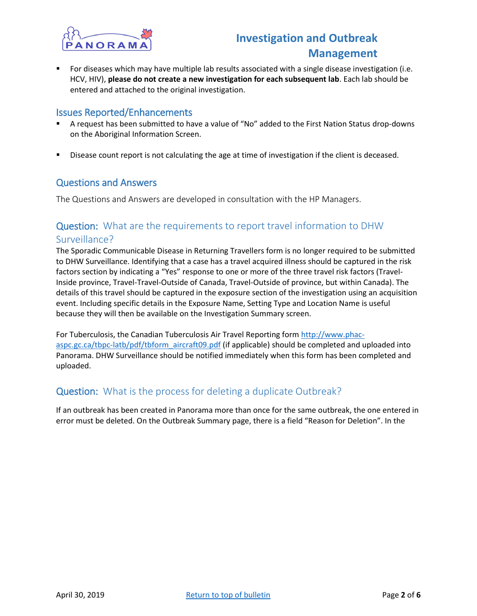

 For diseases which may have multiple lab results associated with a single disease investigation (i.e. HCV, HIV), **please do not create a new investigation for each subsequent lab**. Each lab should be entered and attached to the original investigation.

#### <span id="page-1-0"></span>Issues Reported/Enhancements

- A request has been submitted to have a value of "No" added to the First Nation Status drop-downs on the Aboriginal Information Screen.
- Disease count report is not calculating the age at time of investigation if the client is deceased.

#### <span id="page-1-1"></span>Questions and Answers

The Questions and Answers are developed in consultation with the HP Managers.

### <span id="page-1-2"></span>Question: What are the requirements to report travel information to DHW Surveillance?

The Sporadic Communicable Disease in Returning Travellers form is no longer required to be submitted to DHW Surveillance. Identifying that a case has a travel acquired illness should be captured in the risk factors section by indicating a "Yes" response to one or more of the three travel risk factors (Travel-Inside province, Travel-Travel-Outside of Canada, Travel-Outside of province, but within Canada). The details of this travel should be captured in the exposure section of the investigation using an acquisition event. Including specific details in the Exposure Name, Setting Type and Location Name is useful because they will then be available on the Investigation Summary screen.

For Tuberculosis, the Canadian Tuberculosis Air Travel Reporting form [http://www.phac](http://www.phac-aspc.gc.ca/tbpc-latb/pdf/tbform_aircraft09.pdf)[aspc.gc.ca/tbpc-latb/pdf/tbform\\_aircraft09.pdf](http://www.phac-aspc.gc.ca/tbpc-latb/pdf/tbform_aircraft09.pdf) (if applicable) should be completed and uploaded into Panorama. DHW Surveillance should be notified immediately when this form has been completed and uploaded.

### <span id="page-1-3"></span>Question: What is the process for deleting a duplicate Outbreak?

If an outbreak has been created in Panorama more than once for the same outbreak, the one entered in error must be deleted. On the Outbreak Summary page, there is a field "Reason for Deletion". In the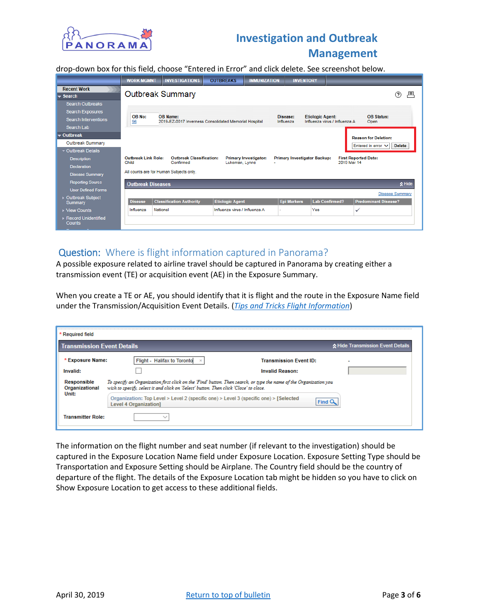

drop-down box for this field, choose "Entered in Error" and click delete. See screenshot below.

|                                                    | <b>WORK MGMNT</b>                       | <b>INVESTIGATIONS</b>                                                    | <b>OUTBREAKS</b>              | <b>IMMUNIZATION</b>               | <b>INVENTORY</b>                                 |                               |                                   |
|----------------------------------------------------|-----------------------------------------|--------------------------------------------------------------------------|-------------------------------|-----------------------------------|--------------------------------------------------|-------------------------------|-----------------------------------|
| <b>Recent Work</b><br>$\blacktriangleright$ Search |                                         | <b>Outbreak Summary</b>                                                  |                               |                                   |                                                  |                               | 戶<br>?                            |
| <b>Search Outbreaks</b><br><b>Search Exposures</b> |                                         |                                                                          |                               |                                   |                                                  |                               |                                   |
| <b>Search Interventions</b><br>Search Lab          | OB No:<br>96                            | <b>OB Name:</b><br>2019-EZ-0017 Inverness Consolidated Memorial Hospital |                               |                                   | Disease:<br><b>Etiologic Agent:</b><br>Influenza | Influenza virus / Influenza A | <b>OB Status:</b><br>Open         |
| $\bullet$ Outbreak                                 |                                         |                                                                          |                               |                                   |                                                  |                               | <b>Reason for Deletion:</b>       |
| Outbreak Summary                                   |                                         |                                                                          |                               |                                   |                                                  |                               | Entered in error $\vee$<br>Delete |
| ▼ Outbreak Details                                 |                                         |                                                                          |                               |                                   |                                                  |                               |                                   |
| <b>Description</b>                                 | Outbreak Link Role:<br>Child            | <b>Outbreak Classification:</b><br>Confirmed                             | Lukeman, Lynne                | <b>Primary Investigator:</b><br>÷ | <b>Primary Investigator Backup:</b>              | 2019 Mar 14                   | <b>First Reported Date:</b>       |
| <b>Declaration</b>                                 |                                         |                                                                          |                               |                                   |                                                  |                               |                                   |
| <b>Disease Summary</b>                             | All counts are for Human Subjects only. |                                                                          |                               |                                   |                                                  |                               |                                   |
| <b>Reporting Source</b>                            | ☆ Hide<br><b>Outbreak Diseases</b>      |                                                                          |                               |                                   |                                                  |                               |                                   |
| <b>User Defined Forms</b>                          |                                         |                                                                          |                               |                                   |                                                  |                               | <b>Disease Summary</b>            |
| ▶ Outbreak Subject<br><b>Summary</b>               | <b>Disease</b>                          | <b>Classification Authority</b>                                          | <b>Etiologic Agent</b>        |                                   | <b>Epi Markers</b>                               | <b>Lab Confirmed?</b>         | <b>Predominant Disease?</b>       |
| ▶ View Counts                                      | Influenza                               | National                                                                 | Influenza virus / Influenza A |                                   | Yes                                              |                               | ✓                                 |
| ▶ Record Unidentified<br>Counts                    |                                         |                                                                          |                               |                                   |                                                  |                               |                                   |

#### <span id="page-2-0"></span>Question: Where is flight information captured in Panorama?

A possible exposure related to airline travel should be captured in Panorama by creating either a transmission event (TE) or acquisition event (AE) in the Exposure Summary.

When you create a TE or AE, you should identify that it is flight and the route in the Exposure Name field under the Transmission/Acquisition Event Details. (*[Tips and Tricks Flight Information](https://support.novascotia.ca/sites/default/files/files/28-Panorama_Tips_Tricks_Entering_Flight_Information.pdf)*)

| * Required field<br><b>Transmission Event Details</b> |                                                                                                                                                                                                             |                                                         | ☆ Hide Transmission Event Details |
|-------------------------------------------------------|-------------------------------------------------------------------------------------------------------------------------------------------------------------------------------------------------------------|---------------------------------------------------------|-----------------------------------|
| * Exposure Name:<br>Invalid:                          | Flight - Halifax to Toronto x                                                                                                                                                                               | <b>Transmission Event ID:</b><br><b>Invalid Reason:</b> |                                   |
| Responsible<br>Organizational                         | To specify an Organization first click on the 'Find' button. Then search, or type the name of the Organization you<br>wish to specify, select it and click on 'Select' button. Then click 'Close' to close. |                                                         |                                   |
| Unit:                                                 | Organization: Top Level > Level 2 (specific one) > Level 3 (specific one) > [Selected]<br><b>Level 4 Organization1</b>                                                                                      | Find                                                    |                                   |
| <b>Transmitter Role:</b>                              |                                                                                                                                                                                                             |                                                         |                                   |

The information on the flight number and seat number (if relevant to the investigation) should be captured in the Exposure Location Name field under Exposure Location. Exposure Setting Type should be Transportation and Exposure Setting should be Airplane. The Country field should be the country of departure of the flight. The details of the Exposure Location tab might be hidden so you have to click on Show Exposure Location to get access to these additional fields.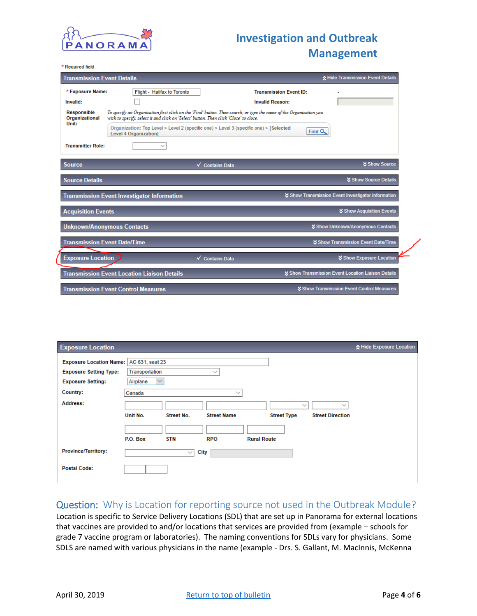

\* Required field

|                                      | ☆ Hide Transmission Event Details<br><b>Transmission Event Details</b>                                                       |                                                                                                                    |  |  |  |
|--------------------------------------|------------------------------------------------------------------------------------------------------------------------------|--------------------------------------------------------------------------------------------------------------------|--|--|--|
| * Exposure Name:                     | Flight - Halifax to Toronto                                                                                                  | <b>Transmission Event ID:</b>                                                                                      |  |  |  |
| Invalid:                             |                                                                                                                              | <b>Invalid Reason:</b>                                                                                             |  |  |  |
| <b>Responsible</b><br>Organizational | wish to specify, select it and click on 'Select' button. Then click 'Close' to close.                                        | To specify an Organization first click on the 'Find' button. Then search, or type the name of the Organization you |  |  |  |
| Unit:                                | Organization: Top Level $>$ Level 2 (specific one) $>$ Level 3 (specific one) $>$ [Selected]<br><b>Level 4 Organization1</b> | Find $Q$                                                                                                           |  |  |  |
| <b>Transmitter Role:</b>             |                                                                                                                              |                                                                                                                    |  |  |  |
| <b>Source</b>                        |                                                                                                                              | <b><i>Show Source</i></b><br><b>Contains Data</b>                                                                  |  |  |  |
| <b>Source Details</b>                |                                                                                                                              | <b><i>Show Source Details</i></b>                                                                                  |  |  |  |
|                                      | <b>Transmission Event Investigator Information</b>                                                                           | ↓ Show Transmission Event Investigator Information                                                                 |  |  |  |
| <b>Acquisition Events</b>            |                                                                                                                              | <b>X Show Acquisition Events</b>                                                                                   |  |  |  |
|                                      | <b>Unknown/Anonymous Contacts</b>                                                                                            | <b>∀ Show Unknown/Anonymous Contacts</b>                                                                           |  |  |  |
| <b>Transmission Event Date/Time</b>  |                                                                                                                              | Show Transmission Event Date/Time                                                                                  |  |  |  |
| <b>Exposure Location</b>             | ✔                                                                                                                            | <b>☆ Show Exposure Location</b><br><b>Contains Data</b>                                                            |  |  |  |
|                                      | <b>Transmission Event Location Liaison Details</b>                                                                           | ■ Show Transmission Event Location Liaison Details                                                                 |  |  |  |
|                                      | <b>Transmission Event Control Measures</b>                                                                                   | <b>X Show Transmission Event Control Measures</b>                                                                  |  |  |  |

| <b>Exposure Location</b>                                                                               |                                                                                                                                                                                             | ☆ Hide Exposure Location |
|--------------------------------------------------------------------------------------------------------|---------------------------------------------------------------------------------------------------------------------------------------------------------------------------------------------|--------------------------|
| Exposure Location Name:   AC 631, seat 23<br><b>Exposure Setting Type:</b><br><b>Exposure Setting:</b> | Transportation<br>$\checkmark$<br>Airplane<br>$\checkmark$                                                                                                                                  |                          |
| Country:                                                                                               | Canada<br>$\sim$                                                                                                                                                                            |                          |
| Address:                                                                                               | $\checkmark$<br>$\checkmark$<br>Unit No.<br>Street No.<br><b>Street Name</b><br><b>Street Type</b><br><b>Street Direction</b><br>P.O. Box<br><b>STN</b><br><b>RPO</b><br><b>Rural Route</b> |                          |
| <b>Province/Territory:</b>                                                                             | <b>City</b><br>$\checkmark$                                                                                                                                                                 |                          |
| <b>Postal Code:</b>                                                                                    |                                                                                                                                                                                             |                          |

#### <span id="page-3-0"></span>Question: Why is Location for reporting source not used in the Outbreak Module?

Location is specific to Service Delivery Locations (SDL) that are set up in Panorama for external locations that vaccines are provided to and/or locations that services are provided from (example – schools for grade 7 vaccine program or laboratories). The naming conventions for SDLs vary for physicians. Some SDLS are named with various physicians in the name (example - [Drs. S. Gallant, M. MacInnis, McKenna](https://mutvrp01.panorama.novascotia.ca/OrganizationWeb/pages/location/basicSearch.faces)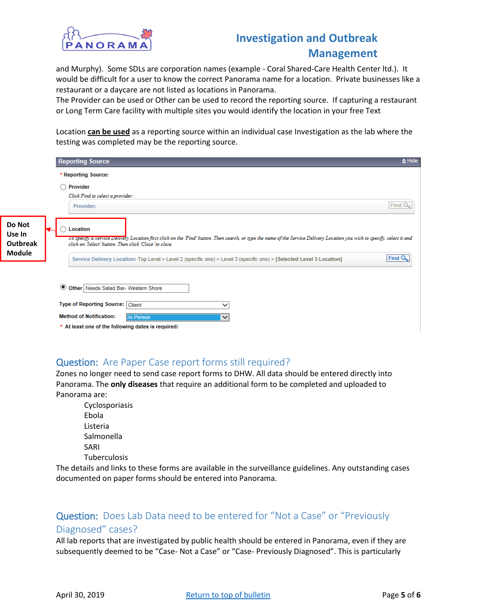

[and Murphy\)](https://mutvrp01.panorama.novascotia.ca/OrganizationWeb/pages/location/basicSearch.faces). Some SDLs are corporation names (example - [Coral Shared-Care Health Center ltd.\)](https://mutvrp01.panorama.novascotia.ca/OrganizationWeb/pages/location/basicSearch.faces). It would be difficult for a user to know the correct Panorama name for a location. Private businesses like a restaurant or a daycare are not listed as locations in Panorama.

The Provider can be used or Other can be used to record the reporting source. If capturing a restaurant or Long Term Care facility with multiple sites you would identify the location in your free Text

Location **can be used** as a reporting source within an individual case Investigation as the lab where the testing was completed may be the reporting source.

|                              | <b>Reporting Source</b>                                                                                                                                                                                                                          | $\triangle$ Hide |  |  |  |
|------------------------------|--------------------------------------------------------------------------------------------------------------------------------------------------------------------------------------------------------------------------------------------------|------------------|--|--|--|
|                              | * Reporting Source:                                                                                                                                                                                                                              |                  |  |  |  |
|                              | Provider                                                                                                                                                                                                                                         |                  |  |  |  |
|                              | Click Find to select a provider:<br>Provider:                                                                                                                                                                                                    | Find C           |  |  |  |
| Do Not<br>Use In<br>Outbreak | Location<br>To specify a Service Delivery Location first click on the 'Find' button. Then search, or type the name of the Service Delivery Location you wish to specify, select it and<br>click on 'Select' button. Then click 'Close' to close. |                  |  |  |  |
| Module                       | Service Delivery Location: Top Level > Level 2 (specific one) > Level 3 (specific one) > [Selected Level 3 Location]                                                                                                                             | Find Q           |  |  |  |
|                              | O Other   Needs Salad Bar- Western Shore                                                                                                                                                                                                         |                  |  |  |  |
|                              | <b>Type of Reporting Source: Client</b>                                                                                                                                                                                                          |                  |  |  |  |
|                              | <b>Method of Notification:</b><br>In Person                                                                                                                                                                                                      |                  |  |  |  |
|                              | * At least one of the following dates is required:                                                                                                                                                                                               |                  |  |  |  |

### <span id="page-4-0"></span>Question: Are Paper Case report forms still required?

Zones no longer need to send case report forms to DHW. All data should be entered directly into Panorama. The **only diseases** that require an additional form to be completed and uploaded to Panorama are:

Cyclosporiasis Ebola Listeria Salmonella SARI Tuberculosis

The details and links to these forms are available in the surveillance guidelines. Any outstanding cases documented on paper forms should be entered into Panorama.

### <span id="page-4-1"></span>Question: Does Lab Data need to be entered for "Not a Case" or "Previously Diagnosed" cases?

All lab reports that are investigated by public health should be entered in Panorama, even if they are subsequently deemed to be "Case- Not a Case" or "Case- Previously Diagnosed". This is particularly